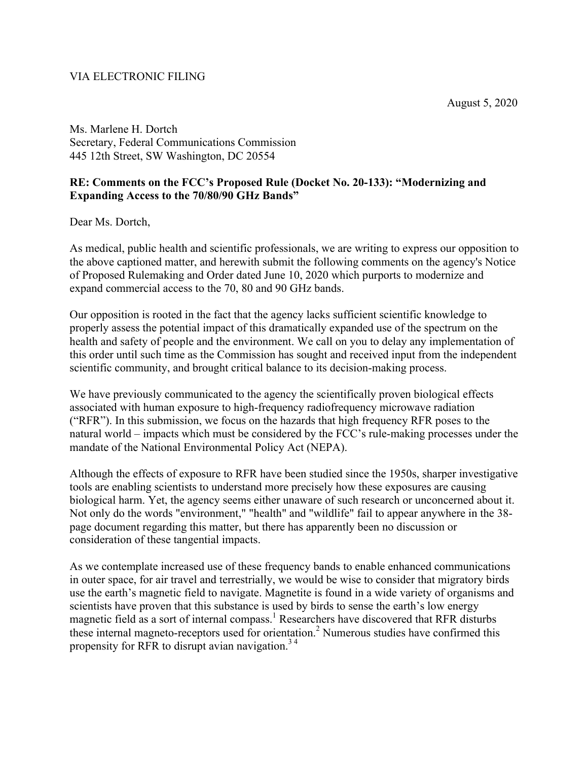## VIA ELECTRONIC FILING

August 5, 2020

Ms. Marlene H. Dortch Secretary, Federal Communications Commission 445 12th Street, SW Washington, DC 20554

## **RE: Comments on the FCC's Proposed Rule (Docket No. 20-133): "Modernizing and Expanding Access to the 70/80/90 GHz Bands"**

Dear Ms. Dortch,

As medical, public health and scientific professionals, we are writing to express our opposition to the above captioned matter, and herewith submit the following comments on the agency's Notice of Proposed Rulemaking and Order dated June 10, 2020 which purports to modernize and expand commercial access to the 70, 80 and 90 GHz bands.

Our opposition is rooted in the fact that the agency lacks sufficient scientific knowledge to properly assess the potential impact of this dramatically expanded use of the spectrum on the health and safety of people and the environment. We call on you to delay any implementation of this order until such time as the Commission has sought and received input from the independent scientific community, and brought critical balance to its decision-making process.

We have previously communicated to the agency the scientifically proven biological effects associated with human exposure to high-frequency radiofrequency microwave radiation ("RFR"). In this submission, we focus on the hazards that high frequency RFR poses to the natural world – impacts which must be considered by the FCC's rule-making processes under the mandate of the National Environmental Policy Act (NEPA).

Although the effects of exposure to RFR have been studied since the 1950s, sharper investigative tools are enabling scientists to understand more precisely how these exposures are causing biological harm. Yet, the agency seems either unaware of such research or unconcerned about it. Not only do the words "environment," "health" and "wildlife" fail to appear anywhere in the 38 page document regarding this matter, but there has apparently been no discussion or consideration of these tangential impacts.

As we contemplate increased use of these frequency bands to enable enhanced communications in outer space, for air travel and terrestrially, we would be wise to consider that migratory birds use the earth's magnetic field to navigate. Magnetite is found in a wide variety of organisms and scientists have proven that this substance is used by birds to sense the earth's low energy magnetic field as a sort of internal compass.<sup>1</sup> Researchers have discovered that RFR disturbs these internal magneto-receptors used for orientation.<sup>2</sup> Numerous studies have confirmed this propensity for RFR to disrupt avian navigation.<sup>34</sup>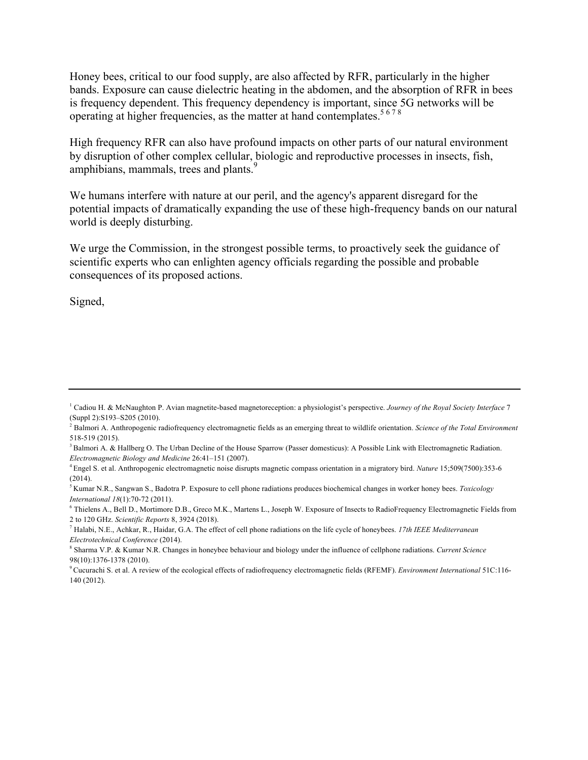Honey bees, critical to our food supply, are also affected by RFR, particularly in the higher bands. Exposure can cause dielectric heating in the abdomen, and the absorption of RFR in bees is frequency dependent. This frequency dependency is important, since 5G networks will be operating at higher frequencies, as the matter at hand contemplates.<sup>5678</sup>

High frequency RFR can also have profound impacts on other parts of our natural environment by disruption of other complex cellular, biologic and reproductive processes in insects, fish, amphibians, mammals, trees and plants.<sup>9</sup>

We humans interfere with nature at our peril, and the agency's apparent disregard for the potential impacts of dramatically expanding the use of these high-frequency bands on our natural world is deeply disturbing.

We urge the Commission, in the strongest possible terms, to proactively seek the guidance of scientific experts who can enlighten agency officials regarding the possible and probable consequences of its proposed actions.

Signed,

<sup>1</sup> Cadiou H. & McNaughton P. Avian magnetite-based magnetoreception: a physiologist's perspective. *Journey of the Royal Society Interface* 7 (Suppl 2):S193–S205 (2010).<br><sup>2</sup> Balmori A. Anthropogenic radiofrequency electromagnetic fields as an emerging threat to wildlife orientation. *Science of the Total Environment* 

<sup>518-519 (2015).&</sup>lt;br><sup>3</sup> Balmori A. & Hallberg O. The Urban Decline of the House Sparrow (Passer domesticus): A Possible Link with Electromagnetic Radiation.

*Electromagnetic Biology and Medicine* 26:41–151 (2007).<br><sup>4</sup> Engel S. et al. Anthropogenic electromagnetic noise disrupts magnetic compass orientation in a migratory bird. *Nature* 15;509(7500):353-6

<sup>(2014).</sup> 

<sup>5</sup> Kumar N.R., Sangwan S., Badotra P. Exposure to cell phone radiations produces biochemical changes in worker honey bees. *Toxicology International 18*(1):70-72 (2011).<br><sup>6</sup> Thielens A., Bell D., Mortimore D.B., Greco M.K., Martens L., Joseph W. Exposure of Insects to RadioFrequency Electromagnetic Fields from

<sup>2</sup> to 120 GHz. *Scientific Reports* 8, 3924 (2018). 7 Halabi, N.E., Achkar, R., Haidar, G.A. The effect of cell phone radiations on the life cycle of honeybees. *17th IEEE Mediterranean* 

*Electrotechnical Conference* (2014).<br><sup>8</sup> Sharma V.P. & Kumar N.R. Changes in honeybee behaviour and biology under the influence of cellphone radiations. *Current Science* 

<sup>98(10):1376-1378 (2010).&</sup>lt;br><sup>9</sup> Cucurachi S. et al. A review of the ecological effects of radiofrequency electromagnetic fields (RFEMF). *Environment International* 51C:116-140 (2012).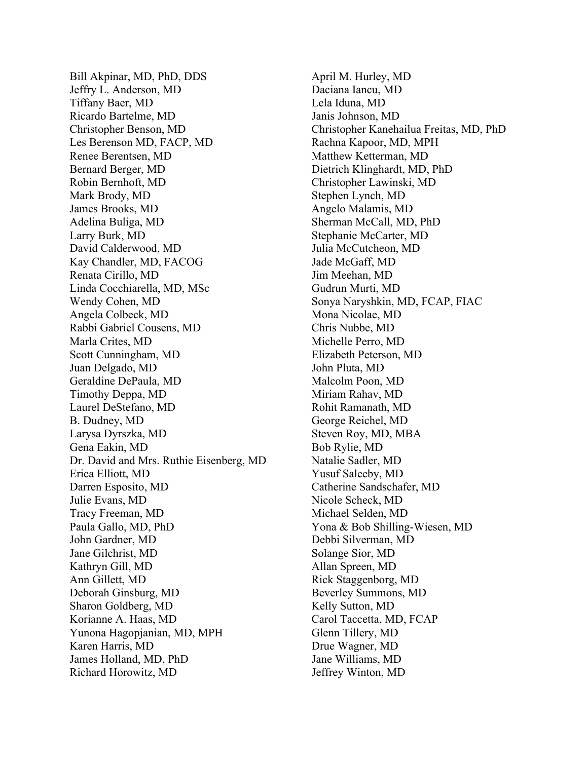Bill Akpinar, MD, PhD, DDS Jeffry L. Anderson, MD Tiffany Baer, MD Ricardo Bartelme, MD Christopher Benson, MD Les Berenson MD, FACP, MD Renee Berentsen, MD Bernard Berger, MD Robin Bernhoft, MD Mark Brody, MD James Brooks, MD Adelina Buliga, MD Larry Burk, MD David Calderwood, MD Kay Chandler, MD, FACOG Renata Cirillo, MD Linda Cocchiarella, MD, MSc Wendy Cohen, MD Angela Colbeck, MD Rabbi Gabriel Cousens, MD Marla Crites, MD Scott Cunningham, MD Juan Delgado, MD Geraldine DePaula, MD Timothy Deppa, MD Laurel DeStefano, MD B. Dudney, MD Larysa Dyrszka, MD Gena Eakin, MD Dr. David and Mrs. Ruthie Eisenberg, MD Erica Elliott, MD Darren Esposito, MD Julie Evans, MD Tracy Freeman, MD Paula Gallo, MD, PhD John Gardner, MD Jane Gilchrist, MD Kathryn Gill, MD Ann Gillett, MD Deborah Ginsburg, MD Sharon Goldberg, MD Korianne A. Haas, MD Yunona Hagopjanian, MD, MPH Karen Harris, MD James Holland, MD, PhD Richard Horowitz, MD

April M. Hurley, MD Daciana Iancu, MD Lela Iduna, MD Janis Johnson, MD Christopher Kanehailua Freitas, MD, PhD Rachna Kapoor, MD, MPH Matthew Ketterman, MD Dietrich Klinghardt, MD, PhD Christopher Lawinski, MD Stephen Lynch, MD Angelo Malamis, MD Sherman McCall, MD, PhD Stephanie McCarter, MD Julia McCutcheon, MD Jade McGaff, MD Jim Meehan, MD Gudrun Murti, MD Sonya Naryshkin, MD, FCAP, FIAC Mona Nicolae, MD Chris Nubbe, MD Michelle Perro, MD Elizabeth Peterson, MD John Pluta, MD Malcolm Poon, MD Miriam Rahav, MD Rohit Ramanath, MD George Reichel, MD Steven Roy, MD, MBA Bob Rylie, MD Natalie Sadler, MD Yusuf Saleeby, MD Catherine Sandschafer, MD Nicole Scheck, MD Michael Selden, MD Yona & Bob Shilling-Wiesen, MD Debbi Silverman, MD Solange Sior, MD Allan Spreen, MD Rick Staggenborg, MD Beverley Summons, MD Kelly Sutton, MD Carol Taccetta, MD, FCAP Glenn Tillery, MD Drue Wagner, MD Jane Williams, MD Jeffrey Winton, MD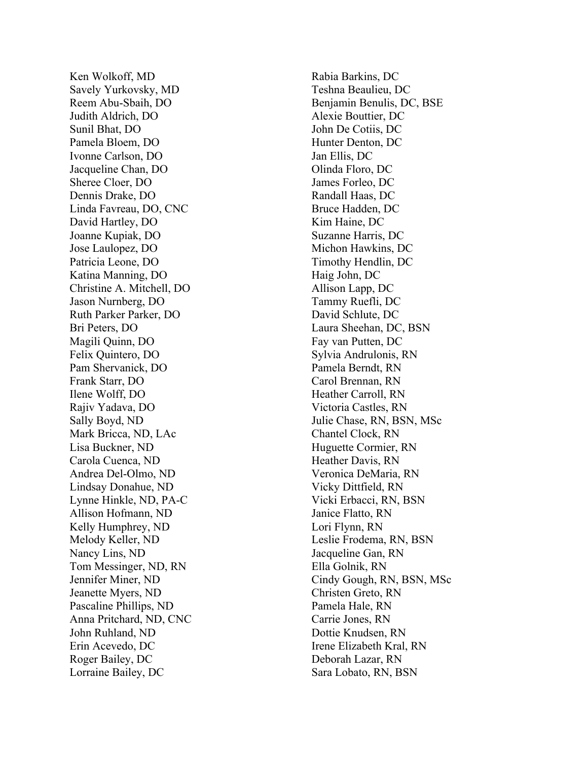Ken Wolkoff, MD Savely Yurkovsky, MD Reem Abu -Sbaih, DO Judith Aldrich, DO Sunil Bhat, DO Pamela Bloem, DO Ivonne Carlson, DO Jacqueline Chan, DO Sheree Cloer, DO Dennis Drake, DO Linda Favreau, DO, CNC David Hartley, DO Joanne Kupiak, DO Jose Laulopez, DO Patricia Leone, D O Katina Manning, DO Christine A. Mitchell, DO Jason Nurnberg, DO Ruth Parker Parker, DO Bri Peters, DO Magili Quinn, DO Felix Quintero, DO Pam Shervanick, DO Frank Starr, DO Ilene Wolff, DO Rajiv Yadava, DO Sally Boyd, ND Mark Bricca, ND, LAc Lisa Buckner, ND Carola Cuenca, ND Andrea Del -Olmo, ND Lindsay Donahue, ND Lynne Hinkle, ND, PA - C Allison Hofmann, ND Kelly Humphrey, ND Melody Keller, ND Nancy Lins, ND Tom Messinger, ND, RN Jennifer Miner, ND Jeanette Myers, ND Pascaline Phillips, ND Anna Pritchard, ND, CNC John Ruhland, ND Erin Acevedo, DC Roger Bailey, DC Lorraine Bailey, DC

Rabia Barkins, DC Teshna Beaulieu, DC Benjamin Benulis, DC, BSE Alexie Bouttier, DC John De Cotiis, DC Hunter Denton, DC Jan Ellis, DC Olinda Floro, DC James Forleo, DC Randall Haas, DC Bruce Hadden, DC Kim Haine, DC Suzanne Harris, DC Michon Hawkins, DC Timothy Hendlin, DC Haig John, DC Allison Lapp, DC Tammy Ruefli, DC David Schlute, DC Laura Sheehan, DC, BSN Fay van Putten, DC Sylvia Andrulonis, RN Pamela Berndt, RN Carol Brennan, RN Heather Carroll, RN Victoria Castles, RN Julie Chase, RN, BSN, MSc Chantel Clock, RN Huguette Cormier, RN Heather Davis, RN Veronica DeMaria, RN Vicky Dittfield, RN Vicki Erbacci, RN, BSN Janice Flatto, RN Lori Flynn, RN Leslie Frodema, RN, BSN Jacqueline Gan, RN Ella Golnik, RN Cindy Gough, RN, BSN, MSc Christen Greto, RN Pamela Hale, RN Carrie Jones, RN Dottie Knudsen, RN Irene Elizabeth Kral, RN Deborah Lazar, RN Sara Lobato, RN, BSN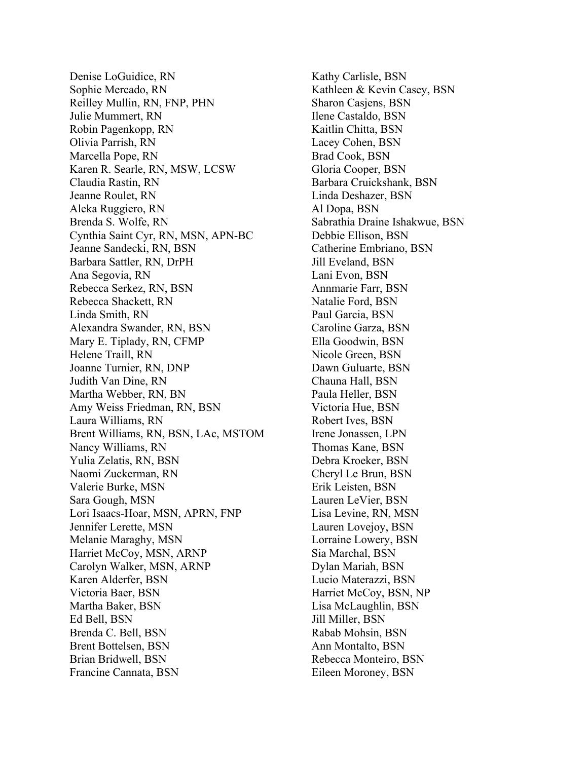Denise LoGuidice, RN Sophie Mercado, RN Reilley Mullin, RN, FNP, PHN Julie Mummert, RN Robin Pagenkopp, RN Olivia Parrish, RN Marcella Pope, RN Karen R. Searle, RN, MSW, LCSW Claudia Rastin, RN Jeanne Roulet, RN Aleka Ruggiero, RN Brenda S. Wolfe, RN Cynthia Saint Cyr, RN, MSN, APN-BC Jeanne Sandecki, RN, BSN Barbara Sattler, RN, DrPH Ana Segovia, RN Rebecca Serkez, RN, BSN Rebecca Shackett, RN Linda Smith, RN Alexandra Swander, RN, BSN Mary E. Tiplady, RN, CFMP Helene Traill, RN Joanne Turnier, RN, DNP Judith Van Dine, RN Martha Webber, RN, BN Amy Weiss Friedman, RN, BSN Laura Williams, RN Brent Williams, RN, BSN, LAc, MSTOM Nancy Williams, RN Yulia Zelatis, RN, BSN Naomi Zuckerman, RN Valerie Burke, MSN Sara Gough, MSN Lori Isaacs-Hoar, MSN, APRN, FNP Jennifer Lerette, MSN Melanie Maraghy, MSN Harriet McCoy, MSN, ARNP Carolyn Walker, MSN, ARNP Karen Alderfer, BSN Victoria Baer, BSN Martha Baker, BSN Ed Bell, BSN Brenda C. Bell, BSN Brent Bottelsen, BSN Brian Bridwell, BSN Francine Cannata, BSN

Kathy Carlisle, BSN Kathleen & Kevin Casey, BSN Sharon Casjens, BSN Ilene Castaldo, BSN Kaitlin Chitta, BSN Lacey Cohen, BSN Brad Cook, BSN Gloria Cooper, BSN Barbara Cruickshank, BSN Linda Deshazer, BSN Al Dopa, BSN Sabrathia Draine Ishakwue, BSN Debbie Ellison, BSN Catherine Embriano, BSN Jill Eveland, BSN Lani Evon, BSN Annmarie Farr, BSN Natalie Ford, BSN Paul Garcia, BSN Caroline Garza, BSN Ella Goodwin, BSN Nicole Green, BSN Dawn Guluarte, BSN Chauna Hall, BSN Paula Heller, BSN Victoria Hue, BSN Robert Ives, BSN Irene Jonassen, LPN Thomas Kane, BSN Debra Kroeker, BSN Cheryl Le Brun, BSN Erik Leisten, BSN Lauren LeVier, BSN Lisa Levine, RN, MSN Lauren Lovejoy, BSN Lorraine Lowery, BSN Sia Marchal, BSN Dylan Mariah, BSN Lucio Materazzi, BSN Harriet McCoy, BSN, NP Lisa McLaughlin, BSN Jill Miller, BSN Rabab Mohsin, BSN Ann Montalto, BSN Rebecca Monteiro, BSN Eileen Moroney, BSN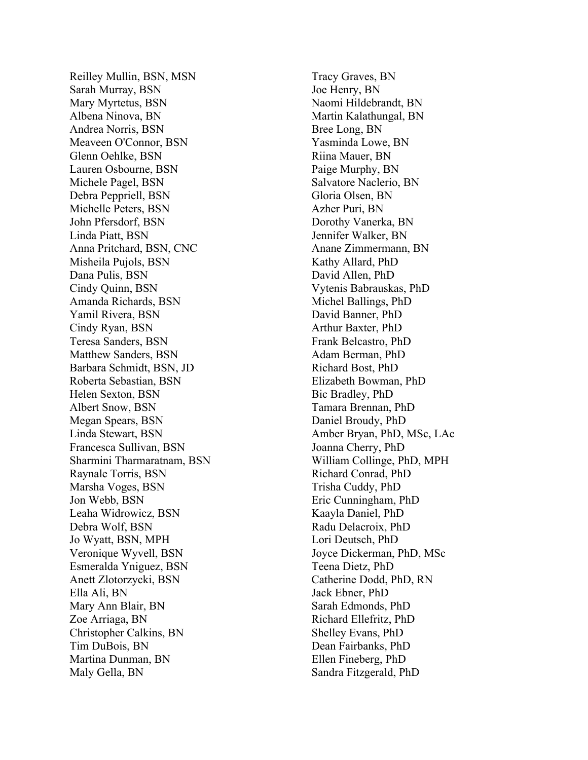Reilley Mullin, BSN, MSN Sarah Murray, BSN Mary Myrtetus, BSN Albena Ninova, BN Andrea Norris, BSN Meaveen O'Connor, BSN Glenn Oehlke, BSN Lauren Osbourne, BSN Michele Pagel, BSN Debra Peppriell, BSN Michelle Peters, BSN John Pfersdorf, BSN Linda Piatt, BSN Anna Pritchard, BSN, CNC Misheila Pujols, BSN Dana Pulis, BSN Cindy Quinn, BSN Amanda Richards, BSN Yamil Rivera, BSN Cindy Ryan, BSN Teresa Sanders, BSN Matthew Sanders, BSN Barbara Schmidt, BSN, JD Roberta Sebastian, BSN Helen Sexton, BSN Albert Snow, BSN Megan Spears, BSN Linda Stewart, BSN Francesca Sullivan, BSN Sharmini Tharmaratnam, BSN Raynale Torris, BSN Marsha Voges, BSN Jon Webb, BSN Leaha Widrowicz, BSN Debra Wolf, BSN Jo Wyatt, BSN, MPH Veronique Wyvell, BSN Esmeralda Yniguez, BSN Anett Zlotorzycki, BSN Ella Ali, BN Mary Ann Blair, BN Zoe Arriaga, BN Christopher Calkins, BN Tim DuBois, BN Martina Dunman, BN Maly Gella, BN

Tracy Graves, BN Joe Henry, BN Naomi Hildebrandt, BN Martin Kalathungal, BN Bree Long, BN Yasminda Lowe, BN Riina Mauer, BN Paige Murphy, BN Salvatore Naclerio, BN Gloria Olsen, BN Azher Puri, BN Dorothy Vanerka, BN Jennifer Walker, BN Anane Zimmermann, BN Kathy Allard, PhD David Allen, PhD Vytenis Babrauskas, PhD Michel Ballings, PhD David Banner, PhD Arthur Baxter, PhD Frank Belcastro, PhD Adam Berman, PhD Richard Bost, PhD Elizabeth Bowman, PhD Bic Bradley, PhD Tamara Brennan, PhD Daniel Broudy, PhD Amber Bryan, PhD, MSc, LAc Joanna Cherry, PhD William Collinge, PhD, MPH Richard Conrad, PhD Trisha Cuddy, PhD Eric Cunningham, PhD Kaayla Daniel, PhD Radu Delacroix, PhD Lori Deutsch, PhD Joyce Dickerman, PhD, MSc Teena Dietz, PhD Catherine Dodd, PhD, RN Jack Ebner, PhD Sarah Edmonds, PhD Richard Ellefritz, PhD Shelley Evans, PhD Dean Fairbanks, PhD Ellen Fineberg, PhD Sandra Fitzgerald, PhD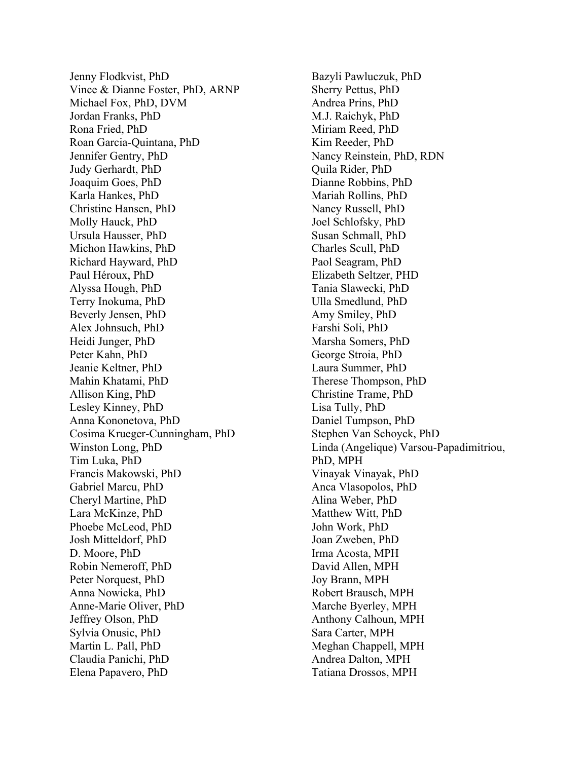Jenny Flodkvist, PhD Vince & Dianne Foster, PhD, ARNP Michael Fox, PhD, DVM Jordan Franks, PhD Rona Fried, PhD Roan Garcia-Quintana, PhD Jennifer Gentry, PhD Judy Gerhardt, PhD Joaquim Goes, PhD Karla Hankes, PhD Christine Hansen, PhD Molly Hauck, PhD Ursula Hausser, PhD Michon Hawkins, PhD Richard Hayward, PhD Paul Héroux, PhD Alyssa Hough, PhD Terry Inokuma, PhD Beverly Jensen, PhD Alex Johnsuch, PhD Heidi Junger, PhD Peter Kahn, PhD Jeanie Keltner, PhD Mahin Khatami, PhD Allison King, PhD Lesley Kinney, PhD Anna Kononetova, PhD Cosima Krueger-Cunningham, PhD Winston Long, PhD Tim Luka, PhD Francis Makowski, PhD Gabriel Marcu, PhD Cheryl Martine, PhD Lara McKinze, PhD Phoebe McLeod, PhD Josh Mitteldorf, PhD D. Moore, PhD Robin Nemeroff, PhD Peter Norquest, PhD Anna Nowicka, PhD Anne-Marie Oliver, PhD Jeffrey Olson, PhD Sylvia Onusic, PhD Martin L. Pall, PhD Claudia Panichi, PhD Elena Papavero, PhD

Bazyli Pawluczuk, PhD Sherry Pettus, PhD Andrea Prins, PhD M.J. Raichyk, PhD Miriam Reed, PhD Kim Reeder, PhD Nancy Reinstein, PhD, RDN Quila Rider, PhD Dianne Robbins, PhD Mariah Rollins, PhD Nancy Russell, PhD Joel Schlofsky, PhD Susan Schmall, PhD Charles Scull, PhD Paol Seagram, PhD Elizabeth Seltzer, PHD Tania Slawecki, PhD Ulla Smedlund, PhD Amy Smiley, PhD Farshi Soli, PhD Marsha Somers, PhD George Stroia, PhD Laura Summer, PhD Therese Thompson, PhD Christine Trame, PhD Lisa Tully, PhD Daniel Tumpson, PhD Stephen Van Schoyck, PhD Linda (Angelique) Varsou-Papadimitriou, PhD, MPH Vinayak Vinayak, PhD Anca Vlasopolos, PhD Alina Weber, PhD Matthew Witt, PhD John Work, PhD Joan Zweben, PhD Irma Acosta, MPH David Allen, MPH Joy Brann, MPH Robert Brausch, MPH Marche Byerley, MPH Anthony Calhoun, MPH Sara Carter, MPH Meghan Chappell, MPH Andrea Dalton, MPH Tatiana Drossos, MPH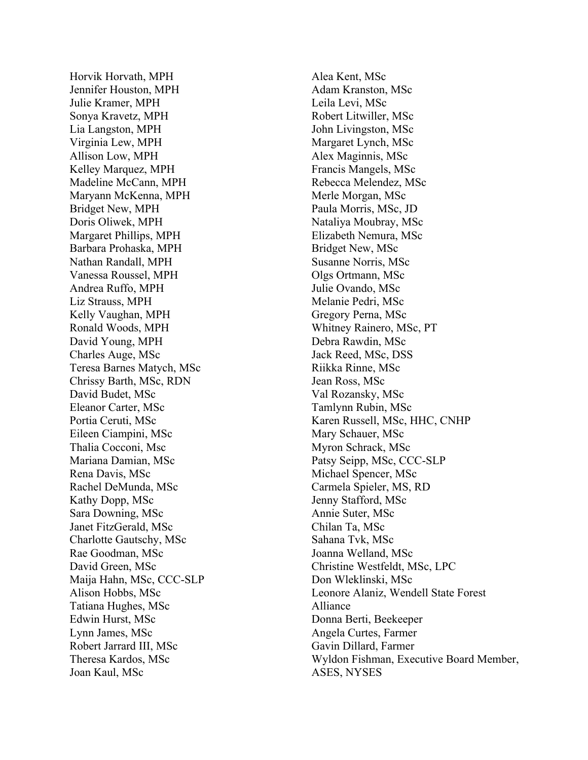Horvik Horvath, MPH Jennifer Houston, MPH Julie Kramer, MPH Sonya Kravetz, MPH Lia Langston, MPH Virginia Lew, MPH Allison Low, MPH Kelley Marquez, MPH Madeline McCann, MPH Maryann McKenna, MPH Bridget New, MPH Doris Oliwek, MPH Margaret Phillips, MPH Barbara Prohaska, MPH Nathan Randall, MPH Vanessa Roussel, MPH Andrea Ruffo, MPH Liz Strauss, MPH Kelly Vaughan, MPH Ronald Woods, MPH David Young, MPH Charles Auge, MSc Teresa Barnes Matych, MSc Chrissy Barth, MSc, RDN David Budet, MSc Eleanor Carter, MSc Portia Ceruti, MSc Eileen Ciampini, MSc Thalia Cocconi, Msc Mariana Damian, MSc Rena Davis, MSc Rachel DeMunda, MSc Kathy Dopp, MSc Sara Downing, MSc Janet FitzGerald, MSc Charlotte Gautschy, MSc Rae Goodman, MSc David Green, MS c Maija Hahn, MSc, CCC -SLP Alison Hobbs, MSc Tatiana Hughes, MSc Edwin Hurst, MSc Lynn James, MS c Robert Jarrard III, MSc Theresa Kardos, MSc Joan Kaul, MSc

Alea Kent, MSc Adam Kranston, MSc Leila Levi, MSc Robert Litwiller, MSc John Livingston, MSc Margaret Lynch, MSc Alex Maginnis, MSc Francis Mangels, MSc Rebecca Melendez, MSc Merle Morgan, MSc Paula Morris, MSc, JD Nataliya Moubray, MSc Elizabeth Nemura, MSc Bridget New, MSc Susanne Norris, MSc Olgs Ortmann, MS c Julie Ovando, MSc Melanie Pedri, MSc Gregory Perna, MSc Whitney Rainero, MSc, PT Debra Rawdin, MSc Jack Reed, MSc, DSS Riikka Rinne, MSc Jean Ross, MSc Val Rozansky, MSc Tamlynn Rubin, MSc Karen Russell, MSc, HHC, CNHP Mary Schauer, MSc Myron Schrack, MSc Patsy Seipp, MSc, CCC -SLP Michael Spencer, MSc Carmela Spieler, MS, RD Jenny Stafford, MSc Annie Suter, MSc Chilan Ta, MSc Sahana Tvk, MSc Joanna Welland, MSc Christine Westfeldt, MSc, LPC Don Wleklinski, MSc Leonore Alaniz, Wendell State Forest Alliance Donna Berti, Beekeeper Angela Curtes, Farmer Gavin Dillard, Farmer Wyldon Fishman, Executive Board Member, ASES, NYSES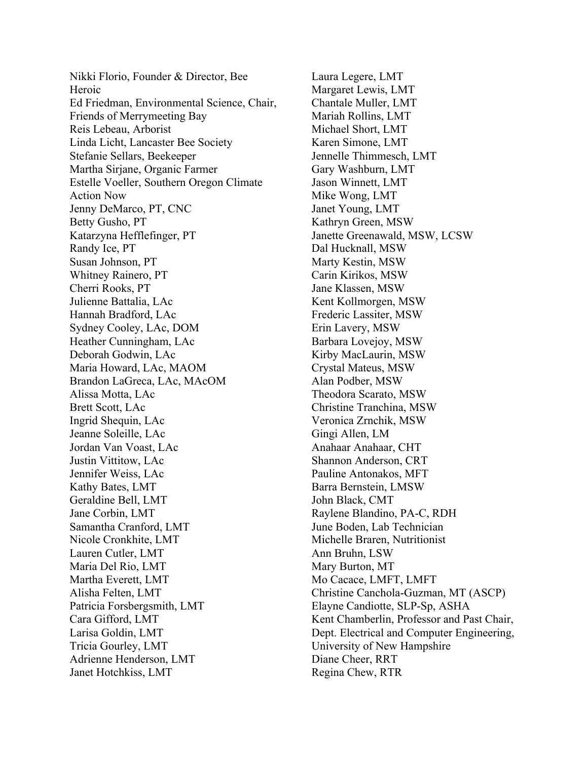Nikki Florio, Founder & Director, Bee Heroic Ed Friedman, Environmental Science, Chair, Friends of Merrymeeting Bay Reis Lebeau, Arborist Linda Licht, Lancaster Bee Society Stefanie Sellars, Beekeeper Martha Sirjane, Organic Farmer Estelle Voeller, Southern Oregon Climate Action Now Jenny DeMarco, PT, CNC Betty Gusho, PT Katarzyna Hefflefinger, PT Randy Ice, PT Susan Johnson, PT Whitney Rainero, PT Cherri Rooks, PT Julienne Battalia, LAc Hannah Bradford, LAc Sydney Cooley, LAc, DOM Heather Cunningham, LAc Deborah Godwin, LAc Maria Howard, LAc, MAOM Brandon LaGreca, LAc, MAcOM Alissa Motta, LAc Brett Scott, LAc Ingrid Shequin, LAc Jeanne Soleille, LAc Jordan Van Voast, LAc Justin Vittitow, LAc Jennifer Weiss, LAc Kathy Bates, LMT Geraldine Bell, LMT Jane Corbin, LMT Samantha Cranford, LMT Nicole Cronkhite, LMT Lauren Cutler, LMT Maria Del Rio, LMT Martha Everett, LMT Alisha Felten, LMT Patricia Forsbergsmith, LMT Cara Gifford, LMT Larisa Goldin, LMT Tricia Gourley, LMT Adrienne Henderson, LMT Janet Hotchkiss, LMT

Laura Legere, LMT Margaret Lewis, LMT Chantale Muller, LMT Mariah Rollins, LMT Michael Short, LMT Karen Simone, LMT Jennelle Thimmesch, LMT Gary Washburn, LMT Jason Winnett, LMT Mike Wong, LMT Janet Young, LMT Kathryn Green, MSW Janette Greenawald, MSW, LCSW Dal Hucknall, MSW Marty Kestin, MSW Carin Kirikos, MSW Jane Klassen, MSW Kent Kollmorgen, MSW Frederic Lassiter, MSW Erin Lavery, MSW Barbara Lovejoy, MSW Kirby MacLaurin, MSW Crystal Mateus, MSW Alan Podber, MSW Theodora Scarato, MSW Christine Tranchina, MSW Veronica Zrnchik, MSW Gingi Allen, LM Anahaar Anahaar, CHT Shannon Anderson, CRT Pauline Antonakos, MFT Barra Bernstein, LMSW John Black, CMT Raylene Blandino, PA-C, RDH June Boden, Lab Technician Michelle Braren, Nutritionist Ann Bruhn, LSW Mary Burton, MT Mo Cacace, LMFT, LMFT Christine Canchola-Guzman, MT (ASCP) Elayne Candiotte, SLP-Sp, ASHA Kent Chamberlin, Professor and Past Chair, Dept. Electrical and Computer Engineering, University of New Hampshire Diane Cheer, RRT Regina Chew, RTR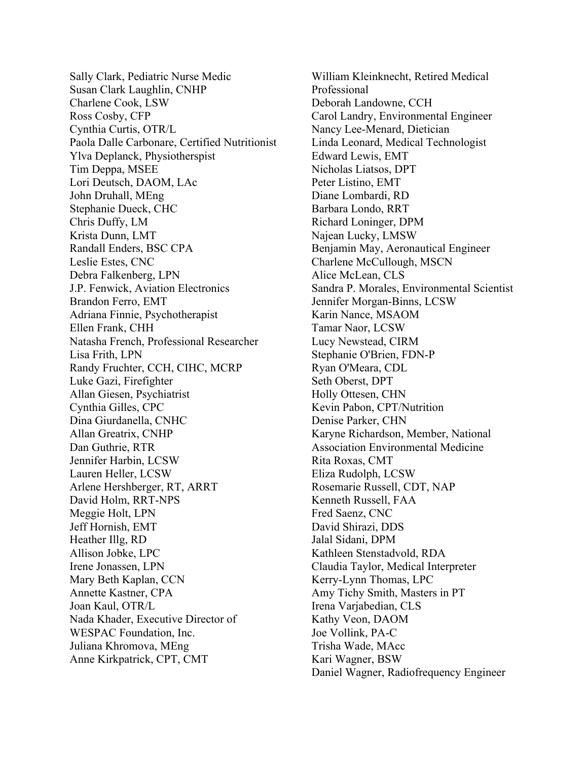Sally Clark, Pediatric Nurse Medic Susan Clark Laughlin, CNHP Charlene Cook, LSW Ross Cosby, CFP Cynthia Curtis, OTR/L Paola Dalle Carbonare, Certified Nutritionist Ylva Deplanck, Physiotherspist Tim Deppa, MSEE Lori Deutsch, DAOM, LAc John Druhall, MEng Stephanie Dueck, CHC Chris Duffy, LM Krista Dunn, LMT Randall Enders, BSC CPA Leslie Estes, CNC Debra Falkenberg, LPN J.P. Fenwick, Aviation Electronics Brandon Ferro, EMT Adriana Finnie, Psychotherapist Ellen Frank, CHH Natasha French, Professional Researcher Lisa Frith, LPN Randy Fruchter, CCH, CIHC, MCRP Luke Gazi, Firefighter Allan Giesen, Psychiatrist Cynthia Gilles, CPC Dina Giurdanella, CNHC Allan Greatrix, CNHP Dan Guthrie, RTR Jennifer Harbin, LCSW Lauren Heller, LCSW Arlene Hershberger, RT, ARRT David Holm, RRT-NPS Meggie Holt, LPN Jeff Hornish, EMT Heather Illg, RD Allison Jobke, LPC Irene Jonassen, LPN Mary Beth Kaplan, CCN Annette Kastner, CPA Joan Kaul, OTR/L Nada Khader, Executive Director of WESPAC Foundation, Inc. Juliana Khromova, MEng Anne Kirkpatrick, CPT, CMT

William Kleinknecht, Retired Medical Professional Deborah Landowne, CCH Carol Landry, Environmental Engineer Nancy Lee-Menard, Dietician Linda Leonard, Medical Technologist Edward Lewis, EMT Nicholas Liatsos, DPT Peter Listino, EMT Diane Lombardi, RD Barbara Londo, RRT Richard Loninger, DPM Najean Lucky, LMSW Benjamin May, Aeronautical Engineer Charlene McCullough, MSCN Alice McLean, CLS Sandra P. Morales, Environmental Scientist Jennifer Morgan-Binns, LCSW Karin Nance, MSAOM Tamar Naor, LCSW Lucy Newstead, CIRM Stephanie O'Brien, FDN-P Ryan O'Meara, CDL Seth Oberst, DPT Holly Ottesen, CHN Kevin Pabon, CPT/Nutrition Denise Parker, CHN Karyne Richardson, Member, National Association Environmental Medicine Rita Roxas, CMT Eliza Rudolph, LCSW Rosemarie Russell, CDT, NAP Kenneth Russell, FAA Fred Saenz, CNC David Shirazi, DDS Jalal Sidani, DPM Kathleen Stenstadvold, RDA Claudia Taylor, Medical Interpreter Kerry-Lynn Thomas, LPC Amy Tichy Smith, Masters in PT Irena Varjabedian, CLS Kathy Veon, DAOM Joe Vollink, PA-C Trisha Wade, MAcc Kari Wagner, BSW Daniel Wagner, Radiofrequency Engineer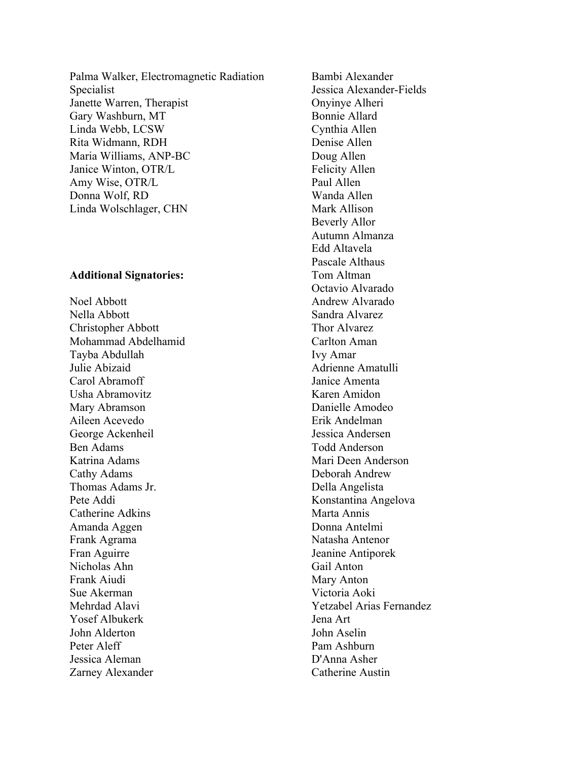Palma Walker, Electromagnetic Radiation Specialist Janette Warren, Therapist Gary Washburn, MT Linda Webb, LCSW Rita Widmann, RDH Maria Williams, ANP-BC Janice Winton, OTR/L Amy Wise, OTR/L Donna Wolf, RD Linda Wolschlager, CHN

## **Additional Signatories:**

Noel Abbott Nella Abbott Christopher Abbott Mohammad Abdelhamid Tayba Abdullah Julie Abizaid Carol Abramoff Usha Abramovitz Mary Abramson Aileen Acevedo George Ackenheil Ben Adams Katrina Adams Cathy Adams Thomas Adams Jr. Pete Addi Catherine Adkins Amanda Aggen Frank Agrama Fran Aguirre Nicholas Ahn Frank Aiudi Sue Akerman Mehrdad Alavi Yosef Albukerk John Alderton Peter Aleff Jessica Aleman Zarney Alexander

Bambi Alexander Jessica Alexander-Fields Onyinye Alheri Bonnie Allard Cynthia Allen Denise Allen Doug Allen Felicity Allen Paul Allen Wanda Allen Mark Allison Beverly Allor Autumn Almanza Edd Altavela Pascale Althaus Tom Altman Octavio Alvarado Andrew Alvarado Sandra Alvarez Thor Alvarez Carlton Aman Ivy Amar Adrienne Amatulli Janice Amenta Karen Amidon Danielle Amodeo Erik Andelman Jessica Andersen Todd Anderson Mari Deen Anderson Deborah Andrew Della Angelista Konstantina Angelova Marta Annis Donna Antelmi Natasha Antenor Jeanine Antiporek Gail Anton Mary Anton Victoria Aoki Yetzabel Arias Fernandez Jena Art John Aselin Pam Ashburn D'Anna Asher Catherine Austin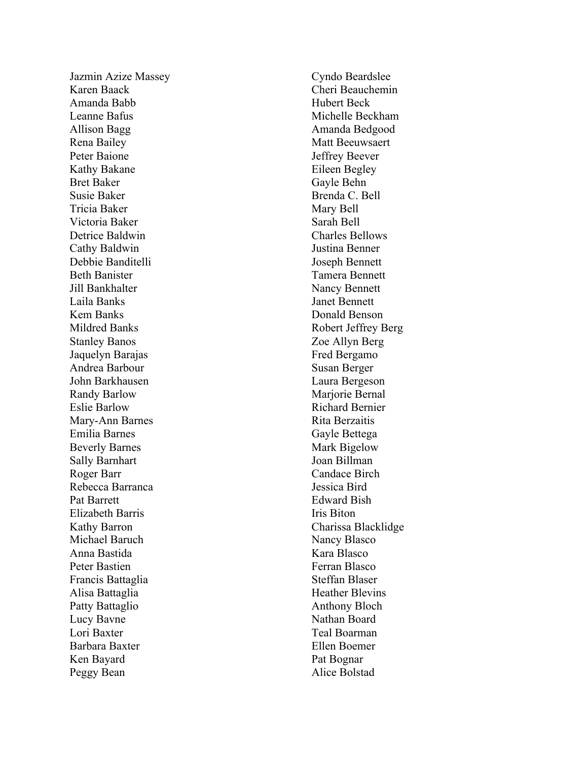Jazmin Azize Massey Karen Baack Amanda Babb Leanne Bafus Allison Bagg Rena Bailey Peter Baione Kathy Bakane Bret Baker Susie Baker Tricia Baker Victoria Baker Detrice Baldwin Cathy Baldwin Debbie Banditelli Beth Banister Jill Bankhalter Laila Banks Kem Banks Mildred Banks Stanley Banos Jaquelyn Barajas Andrea Barbour John Barkhausen Randy Barlow Eslie Barlow Mary -Ann Barnes Emilia Barnes Beverly Barnes Sally Barnhart Roger Barr Rebecca Barranca Pat Barrett Elizabeth Barris Kathy Barron Michael Baruch Anna Bastida Peter Bastien Francis Battaglia Alisa Battaglia Patty Battaglio Lucy Bavne Lori Baxter Barbara Baxter Ken Bayard Peggy Bean

Cyndo Beardslee Cheri Beauchemin Hubert Beck Michelle Beckham Amanda Bedgood Matt Beeuwsaert Jeffrey Beever Eileen Begley Gayle Behn Brenda C. Bell Mary Bell Sarah Bell Charles Bellows Justina Benner Joseph Bennett Tamera Bennett Nancy Bennett Janet Bennett Donald Benson Robert Jeffrey Berg Zoe Allyn Berg Fred Bergamo Susan Berger Laura Bergeson Marjorie Bernal Richard Bernier Rita Berzaitis Gayle Bettega Mark Bigelow Joan Billman Candace Birch Jessica Bird Edward Bish Iris Biton Charissa Blacklidge Nancy Blasco Kara Blasco Ferran Blasco Steffan Blaser Heather Blevins Anthony Bloch Nathan Board Teal Boarma n Ellen Boemer Pat Bognar Alice Bolstad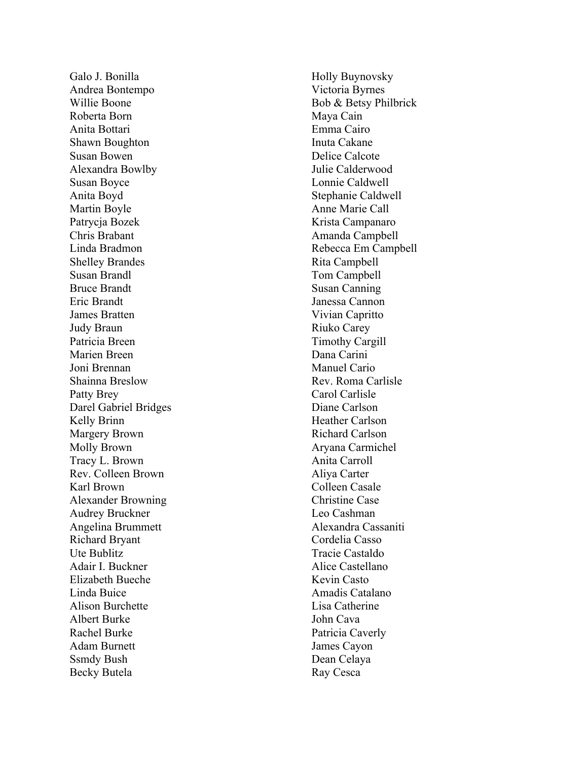Galo J. Bonilla Andrea Bontempo Willie Boone Roberta Born Anita Bottari Shawn Boughton Susan Bowen Alexandra Bowlby Susan Boyce Anita Boyd Martin Boyle Patrycja Bozek Chris Brabant Linda Bradmon Shelley Brandes Susan Brandl Bruce Brandt Eric Brandt James Bratten Judy Braun Patricia Breen Marien Breen Joni Brennan Shainna Breslow Patty Brey Darel Gabriel Bridges Kelly Brinn Margery Brown Molly Brown Tracy L . Brown Rev . Colleen Brown Karl Brown Alexander Browning Audrey Bruckner Angelina Brummett Richard Bryant Ute Bublitz Adair I. Buckner Elizabeth Bueche Linda Buice Alison Burchette Albert Burke Rachel Burke Adam Burnett Ssmdy Bush Becky Butela

Holly Buynovsky Victoria Byrnes Bob & Betsy Philbrick Maya Cain Emma Cairo Inuta Cakane Delice Calcote Julie Calderwood Lonnie Caldwell Stephanie Caldwell Anne Marie Call Krista Campanaro Amanda Campbell Rebecca Em Campbell Rita Campbell Tom Campbell Susan Canning Janessa Cannon Vivian Capritto Riuko Carey Timothy Cargill Dana Carini Manuel Cario Rev. Roma Carlisle Carol Carlisle Diane Carlson Heather Carlson Richard Carlson Aryana Carmichel Anita Carroll Aliya Carter Colleen Casale Christine Case Leo Cashman Alexandra Cassaniti Cordelia Casso Tracie Castaldo Alice Castellano Kevin Casto Amadis Catalano Lisa Catherine John Cava Patricia Caverly James Cayon Dean Celaya Ray Cesca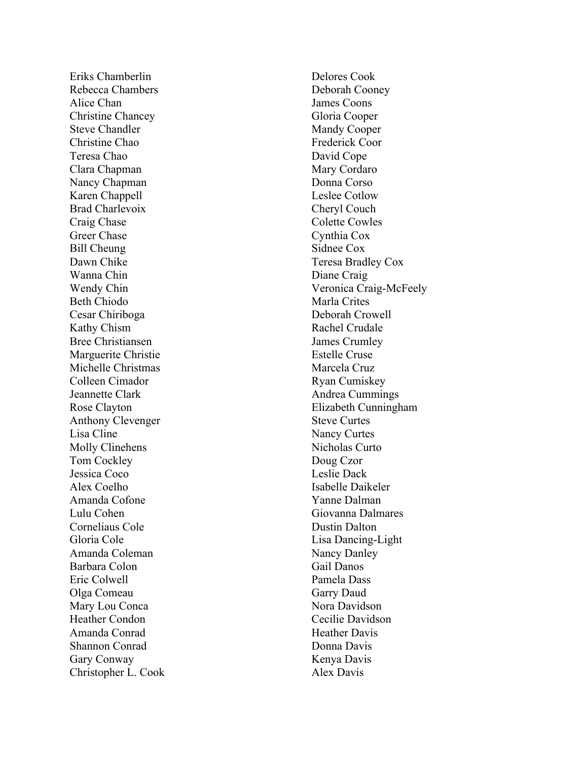Eriks Chamberlin Rebecca Chambers Alice Chan Christine Chancey Steve Chandler Christine Chao Teresa Chao Clara Chapman Nancy Chapman Karen Chappell Brad Charlevoix Craig Chase Greer Chase Bill Cheung Dawn Chike Wanna Chin Wendy Chin Beth Chiodo Cesar Chiriboga Kathy Chism Bree Christiansen Marguerite Christie Michelle Christmas Colleen Cimador Jeannette Clark Rose Clayton Anthony Clevenger Lisa Cline Molly Clinehens Tom Cockley Jessica Coco Alex Coelho Amanda Cofone Lulu Cohen Corneliaus Cole Gloria Cole Amanda Coleman Barbara Colon Eric Colwell Olga Comeau Mary Lou Conca Heather Condon Amanda Conrad Shannon Conrad Gary Conway Christopher L . Cook Delores Cook Deborah Cooney James Coons Gloria Cooper Mandy Cooper Frederick Coor David Cope Mary Cordaro Donna Corso Leslee Cotlow Cheryl Couch Colette Cowles Cynthia Cox Sidnee Cox Teresa Bradley Cox Diane Craig Veronica Craig -McFeely Marla Crites Deborah Crowell Rachel Crudale James Crumley Estelle Cruse Marcela Cruz Ryan Cumiskey Andrea Cummings Elizabeth Cunningham Steve Curtes Nancy Curtes Nicholas Curto Doug Czor Leslie Dack Isabelle Daikeler Yanne Dalman Giovanna Dalmares Dustin Dalton Lisa Dancing -Light Nancy Danley Gail Danos Pamela Dass Garry Daud Nora Davidson Cecilie Davidson Heather Davis Donna Davis Kenya Davis Alex Davis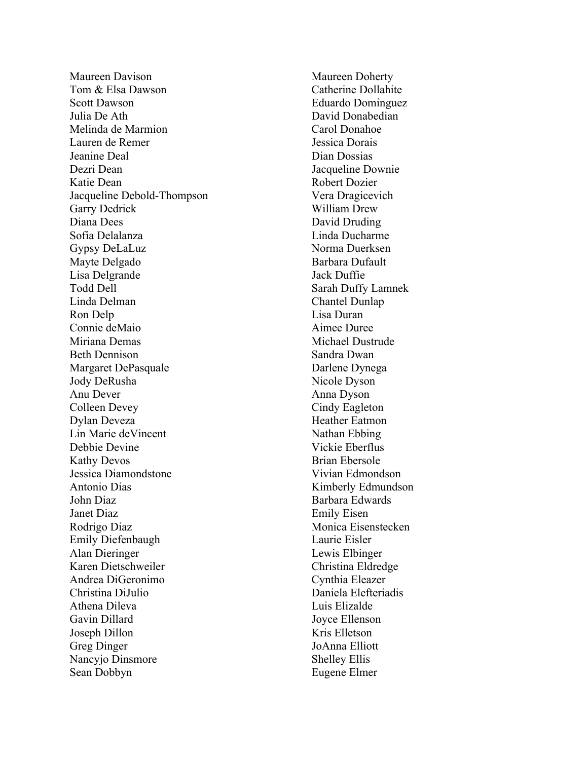Maureen Davison Tom & Elsa Dawson Scott Dawson Julia De Ath Melinda de Marmion Lauren de Remer Jeanine Deal Dezri Dean Katie Dean Jacqueline Debold -Thompson Garry Dedrick Diana Dees Sofia Delalanza Gypsy DeLaLuz Mayte Delgado Lisa Delgrande Todd Dell Linda Delman Ron Delp Connie deMaio Miriana Demas Beth Dennison Margaret DePasquale Jody DeRusha Anu Dever Colleen Devey Dylan Deveza Lin Marie deVincent Debbie Devine Kathy Devos Jessica Diamondstone Antonio Dias John Diaz Janet Diaz Rodrigo Diaz Emily Diefenbaugh Alan Dieringer Karen Dietschweiler Andrea DiGeronimo Christina DiJulio Athena Dileva Gavin Dillard Joseph Dillon Greg Dinger Nancyjo Dinsmore Sean Dobbyn

Maureen Doherty Catherine Dollahite Eduardo Dominguez David Donabedian Carol Donahoe Jessica Dorais Dian Dossias Jacqueline Downie Robert Dozier Vera Dragicevich William Drew David Druding Linda Ducharme Norma Duerksen Barbara Dufault Jack Duffie Sarah Duffy Lamnek Chantel Dunlap Lisa Duran Aimee Duree Michael Dustrude Sandra Dwan Darlene Dynega Nicole Dyson Anna Dyson Cindy Eagleton Heather Eatmon Nathan Ebbing Vickie Eberflus Brian Ebersole Vivian Edmondson Kimberly Edmundson Barbara Edwards Emily Eisen Monica Eisenstecken Laurie Eisler Lewis Elbinger Christina Eldredge Cynthia Eleazer Daniela Elefteriadis Luis Elizalde Joyce Ellenson Kris Elletson JoAnna Elliott Shelley Ellis Eugene Elmer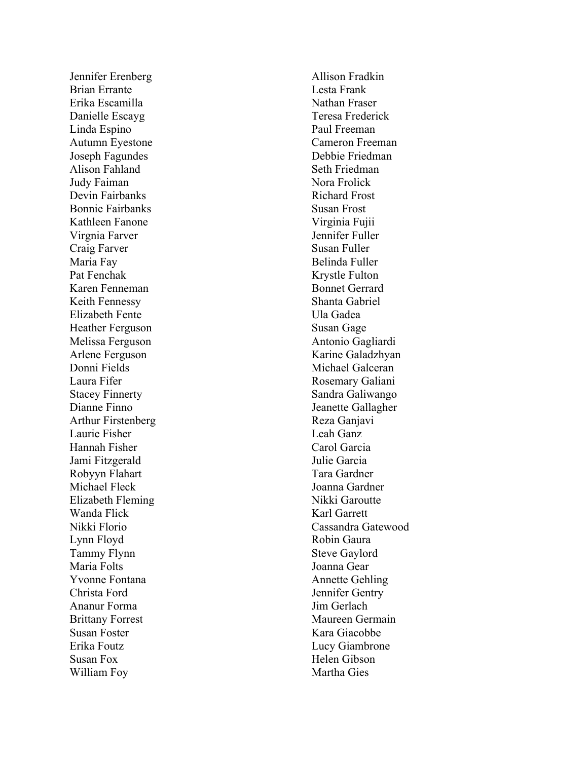Jennifer Erenberg Brian Errante Erika Escamilla Danielle Escayg Linda Espino Autumn Eyestone Joseph Fagundes Alison Fahland Judy Faiman Devin Fairbanks Bonnie Fairbanks Kathleen Fanone Virgnia Farver Craig Farver Maria Fay Pat Fenchak Karen Fenneman Keith Fennessy Elizabeth Fente Heather Ferguson Melissa Ferguson Arlene Ferguson Donni Fields Laura Fifer Stacey Finnerty Dianne Finno Arthur Firstenberg Laurie Fisher Hannah Fisher Jami Fitzgerald Robyyn Flahart Michael Fleck Elizabeth Fleming Wanda Flick Nikki Florio Lynn Floyd Tammy Flynn Maria Folts Yvonne Fontana Christa Ford Ananur Forma Brittany Forrest Susan Foster Erika Foutz Susan Fox William Foy

Allison Fradkin Lesta Frank Nathan Fraser Teresa Frederick Paul Freeman Cameron Freeman Debbie Friedman Seth Friedman Nora Frolick Richard Frost Susan Frost Virginia Fujii Jennifer Fuller Susan Fuller Belinda Fuller Krystle Fulton Bonnet Gerrard Shanta Gabriel Ula Gadea Susan Gage Antonio Gagliardi Karine Galadzhyan Michael Galceran Rosemary Galian i Sandra Galiwango Jeanette Gallagher Reza Ganjavi Leah Ganz Carol Garcia Julie Garcia Tara Gardner Joanna Gardner Nikki Garoutte Karl Garrett Cassandra Gatewood Robin Gaura Steve Gaylord Joanna Gear Annette Gehling Jennifer Gentry Jim Gerlach Maureen Germain Kara Giacobbe Lucy Giambrone Helen Gibson Martha Gies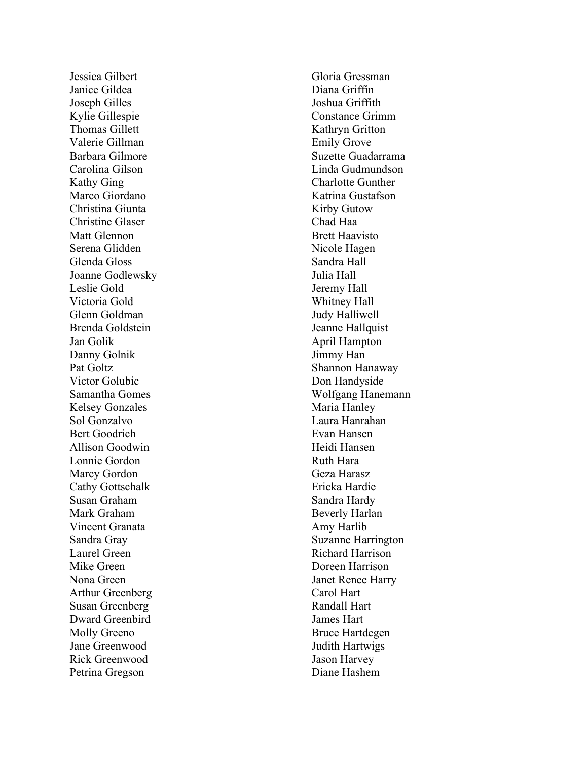Jessica Gilbert Janice Gildea Joseph Gilles Kylie Gillespie Thomas Gillett Valerie Gillman Barbara Gilmore Carolina Gilson Kathy Ging Marco Giordano Christina Giunta Christine Glaser Matt Glennon Serena Glidden Glenda Gloss Joanne Godlewsky Leslie Gold Victoria Gold Glenn Goldman Brenda Goldstein Jan Golik Danny Golnik Pat Goltz Victor Golubic Samantha Gomes Kelsey Gonzales Sol Gonzalvo Bert Goodrich Allison Goodwin Lonnie Gordon Marcy Gordon Cathy Gottschalk Susan Graham Mark Graham Vincent Granata Sandra Gray Laurel Green Mike Green Nona Green Arthur Greenberg Susan Greenberg Dward Greenbird Molly Greeno Jane Greenwood Rick Greenwood Petrina Gregson

Gloria Gressman Diana Griffin Joshua Griffith Constance Grimm Kathryn Gritton Emily Grove Suzette Guadarrama Linda Gudmundson Charlotte Gunther Katrina Gustafson Kirby Gutow Chad Haa Brett Haavisto Nicole Hagen Sandra Hall Julia Hall Jeremy Hall Whitney Hall Judy Halliwell Jeanne Hallquist April Hampton Jimmy Han Shannon Hanaway Don Handyside Wolfgang Hanemann Maria Hanley Laura Hanrahan Evan Hansen Heidi Hansen Ruth Hara Geza Harasz Ericka Hardie Sandra Hardy Beverly Harlan Amy Harlib Suzanne Harrington Richard Harrison Doreen Harrison Janet Renee Harry Carol Hart Randall Hart James Hart Bruce Hartdegen Judith Hartwigs Jason Harvey Diane Hashem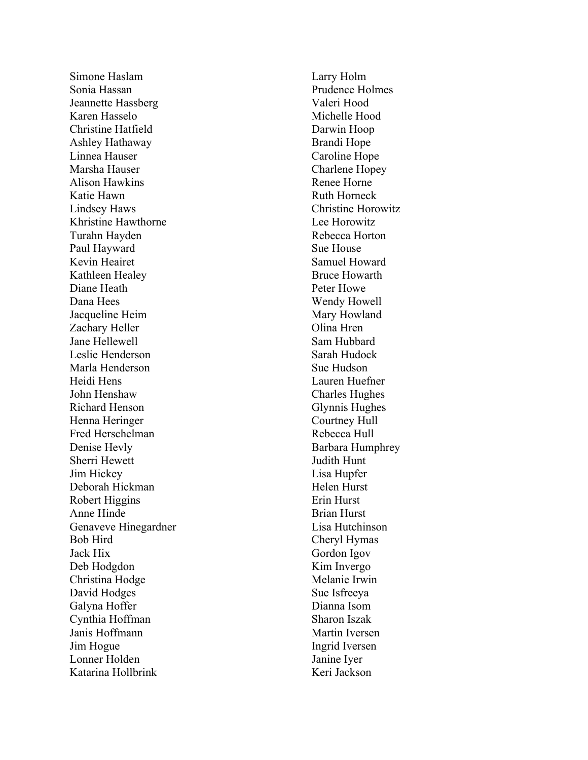Simone Haslam Sonia Hassan Jeannette Hassberg Karen Hasselo Christine Hatfield Ashley Hathaway Linnea Hauser Marsha Hauser Alison Hawkins Katie Hawn Lindsey Haws Khristine Hawthorne Turahn Hayden Paul Hayward Kevin Heairet Kathleen Healey Diane Heath Dana Hees Jacqueline Heim Zachary Heller Jane Hellewell Leslie Henderson Marla Henderson Heidi Hens John Henshaw Richard Henson Henna Heringer Fred Herschelman Denise Hevly Sherri Hewett Jim Hickey Deborah Hickman Robert Higgins Anne Hinde Genaveve Hinegardner Bob Hird Jack Hix Deb Hodgdon Christina Hodge David Hodges Galyna Hoffer Cynthia Hoffman Janis Hoffmann Jim Hogue Lonner Holden Katarina Hollbrink

Larry Holm Prudence Holmes Valeri Hood Michelle Hood Darwin Hoop Brandi Hope Caroline Hope Charlene Hopey Renee Horne Ruth Horneck Christine Horowitz Lee Horowitz Rebecca Horton Sue House Samuel Howard Bruce Howarth Peter Howe Wendy Howell Mary Howland Olina Hren Sam Hubbard Sarah Hudock Sue Hudson Lauren Huefner Charles Hughes Glynnis Hughes Courtney Hull Rebecca Hull Barbara Humphrey Judith Hunt Lisa Hupfer Helen Hurst Erin Hurst Brian Hurst Lisa Hutchinson Cheryl Hymas Gordon Igov Kim Invergo Melanie Irwin Sue Isfreeya Dianna Isom Sharon Iszak Martin Iversen Ingrid Iversen Janine Iyer Keri Jackson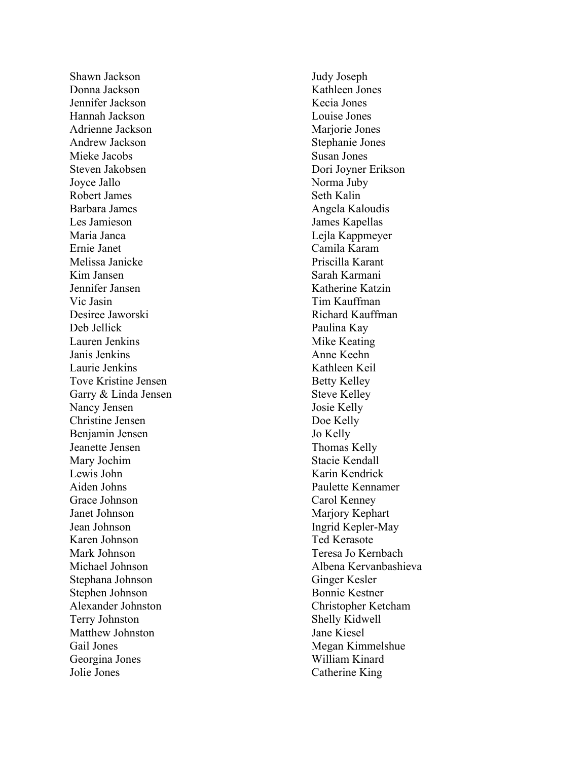Shawn Jackson Donna Jackson Jennifer Jackson Hannah Jackson Adrienne Jackson Andrew Jackson Mieke Jacobs Steven Jakobsen Joyce Jallo Robert James Barbara James Les Jamieson Maria Janca Ernie Janet Melissa Janicke Kim Jansen Jennifer Jansen Vic Jasin Desiree Jaworski Deb Jellick Lauren Jenkins Janis Jenkins Laurie Jenkins Tove Kristine Jensen Garry & Linda Jensen Nancy Jensen Christine Jensen Benjamin Jensen Jeanette Jensen Mary Jochim Lewis John Aiden Johns Grace Johnson Janet Johnson Jean Johnson Karen Johnson Mark Johnson Michael Johnson Stephana Johnson Stephen Johnson Alexander Johnston Terry Johnston Matthew Johnston Gail Jones Georgina Jones Jolie Jones

Judy Joseph Kathleen Jones Kecia Jones Louise Jones Mariorie Jones Stephanie Jones Susan Jones Dori Joyner Erikson Norma Juby Seth Kalin Angela Kaloudis James Kapellas Lejla Kappmeyer Camila Karam Priscilla Karant Sarah Karmani Katherine Katzin Tim Kauffman Richard Kauffman Paulina Kay Mike Keating Anne Keehn Kathleen Keil Betty Kelley Steve Kelley Josie Kelly Doe Kelly Jo Kelly Thomas Kelly Stacie Kendall Karin Kendrick Paulette Kennamer Carol Kenney Marjory Kephart Ingrid Kepler -May Ted Kerasote Teresa Jo Kernbach Albena Kervanbashieva Ginger Kesler Bonnie Kestner Christopher Ketcham Shelly Kidwell Jane Kiesel Megan Kimmelshue William Kinard Catherine King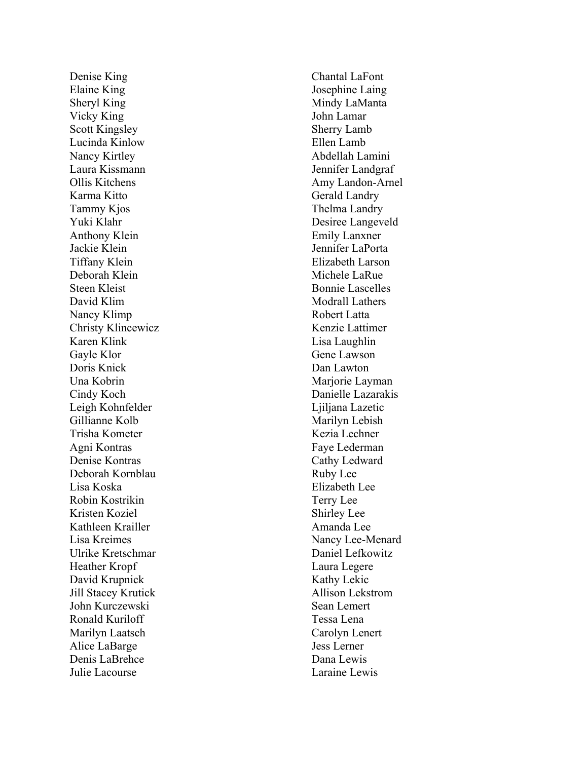Denise King Elaine King Sheryl King Vicky King Scott Kingsley Lucinda Kinlow Nancy Kirtley Laura Kissmann Ollis Kitchens Karma Kitto Tammy Kjos Yuki Klahr Anthony Klein Jackie Klein Tiffany Klein Deborah Klein Steen Kleist David Klim Nancy Klimp Christy Klincewicz Karen Klink Gayle Klor Doris Knick Una Kobrin Cindy Koch Leigh Kohnfelder Gillianne Kolb Trisha Kometer Agni Kontras Denise Kontras Deborah Kornblau Lisa Koska Robin Kostrikin Kristen Koziel Kathleen Krailler Lisa Kreimes Ulrike Kretschmar Heather Kropf David Krupnick Jill Stacey Krutick John Kurczewski Ronald Kuriloff Marilyn Laatsch Alice LaBarge Denis LaBrehce Julie Lacourse

Chantal L a Font Josephine Laing Mindy LaManta John Lamar Sherry Lamb Ellen Lamb Abdellah Lamini Jennifer Landgraf Amy Landon -Arnel Gerald Landry Thelma Landry Desiree Langeveld Emily Lanxner Jennifer LaPorta Elizabeth Larson Michele LaRue Bonnie Lascelles Modrall Lathers Robert Latta Kenzie Lattimer Lisa Laughlin Gene Lawson Dan Lawton Marjorie Layman Danielle Lazarakis Ljiljana Lazetic Marilyn Lebish Kezia Lechner Faye Lederman Cathy Ledward Ruby Lee Elizabeth Lee Terry Lee Shirley Lee Amanda Lee Nancy Lee -Menard Daniel Lefkowitz Laura Legere Kathy Lekic Allison Lekstrom Sean Lemert Tessa Lena Carolyn Lenert Jess Lerner Dana Lewis Laraine Lewis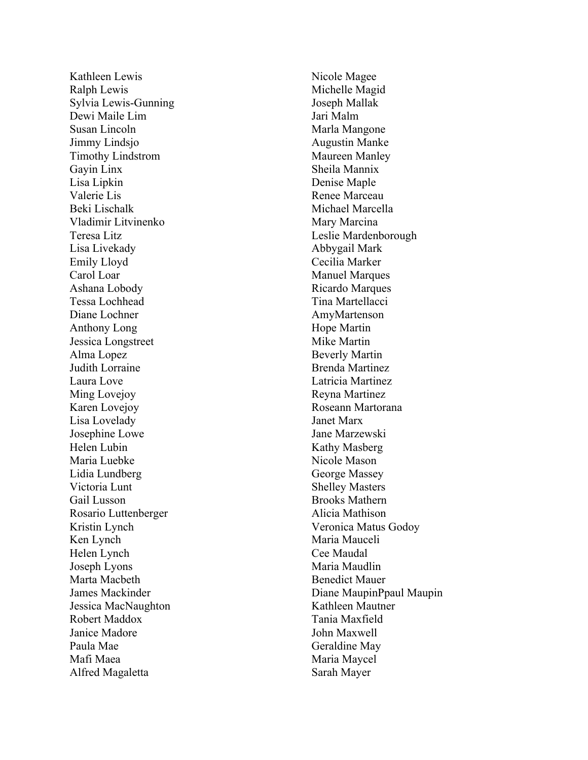Kathleen Lewis Ralph Lewis Sylvia Lewis -Gunning Dewi Maile Lim Susan Lincoln Jimmy Lindsjo Timothy Lindstrom Gayin Linx Lisa Lipkin Valerie Lis Beki Lischalk Vladimir Litvinenko Teresa Litz Lisa Livekady Emily Lloyd Carol Loar Ashana Lobody Tessa Lochhead Diane Lochner Anthony Long Jessica Longstreet Alma Lopez Judith Lorraine Laura Love Ming Lovejoy Karen Lovejoy Lisa Lovelady Josephine Lowe Helen Lubin Maria Luebke Lidia Lundberg Victoria Lunt Gail Lusson Rosario Luttenberger Kristin Lynch Ken Lynch Helen Lynch Joseph Lyons Marta Macbeth James Mackinder Jessica MacNaughton Robert Maddox Janice Madore Paula Mae Mafi Maea Alfred Magaletta

Nicole Magee Michelle Magid Joseph Mallak Jari Malm Marla Mangone Augustin Manke Maureen Manley Sheila Mannix Denise Maple Renee Marceau Michael Marcella Mary Marcina Leslie Mardenborough Abbygail Mark Cecilia Marker Manuel Marques Ricardo Marques Tina Martellacci AmyMartenson Hope Martin Mike Martin Beverly Martin Brenda Martinez Latricia Martinez Reyna Martinez Roseann Martorana Janet Marx Jane Marzewski Kathy Masberg Nicole Mason George Massey Shelley Masters Brooks Mathern Alicia Mathison Veronica Matus Godoy Maria Mauceli Cee Maudal Maria Maudlin Benedict Mauer Diane Maupin Ppaul Maupin Kathleen Mautner Tania Maxfield John Maxwell Geraldine May Maria Maycel Sarah Mayer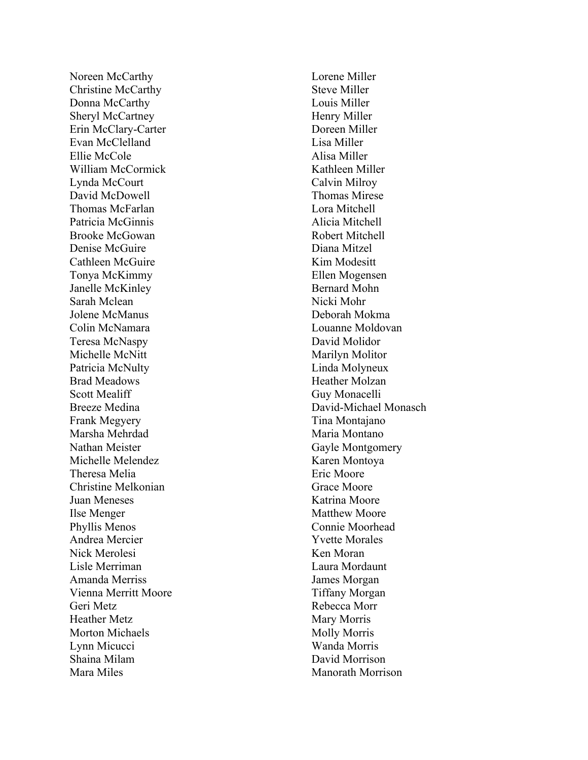Noreen McCarthy Christine McCarthy Donna McCarthy Sheryl McCartney Erin McClary -Carter Evan McClelland Ellie McCole William McCormick Lynda McCourt David McDowell Thomas McFarlan Patricia McGinnis Brooke McGowan Denise McGuire Cathleen McGuire Tonya McKimmy Janelle McKinley Sarah Mclean Jolene McManus Colin McNamara Teresa McNaspy Michelle McNitt Patricia McNulty Brad Meadows Scott Mealiff Breeze Medina Frank Megyery Marsha Mehrdad Nathan Meister Michelle Melendez Theresa Melia Christine Melkonian Juan Meneses Ilse Menger Phyllis Menos Andrea Mercier Nick Merolesi Lisle Merriman Amanda Merriss Vienna Merritt Moore Geri Metz Heather Metz Morton Michaels Lynn Micucci Shaina Milam Mara Miles

Lorene Miller Steve Miller Louis Miller Henry Miller Doreen Miller Lisa Miller Alisa Miller Kathleen Miller Calvin Milroy Thomas Mirese Lora Mitchell Alicia Mitchell Robert Mitchell Diana Mitzel Kim Modesitt Ellen Mogensen Bernard Mohn Nicki Mohr Deborah Mokma Louanne Moldovan David Molidor Marilyn Molitor Linda Molyneux Heather Molzan Guy Monacelli David -Michael Monasch Tina Montajano Maria Montano Gayle Montgomery Karen Montoya Eric Moore Grace Moore Katrina Moore Matthew Moore Connie Moorhead Yvette Morales Ken Moran Laura Mordaunt James Morgan Tiffany Morgan Rebecca Morr Mary Morris Molly Morris Wanda Morris David Morrison Manorath Morrison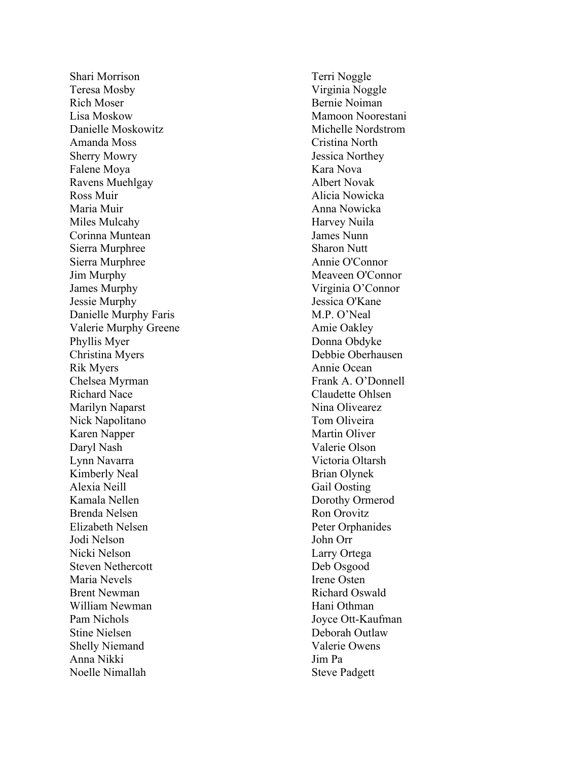Shari Morrison Teresa Mosby Rich Moser Lisa Moskow Danielle Moskowitz Amanda Moss Sherry Mowry Falene Moya Ravens Muehlgay Ross Muir Maria Muir Miles Mulcahy Corinna Muntean Sierra Murphree Sierra Murphree Jim Murphy James Murphy Jessie Murphy Danielle Murphy Faris Valerie Murphy Greene Phyllis Myer Christina Myers Rik Myers Chelsea Myrman Richard Nace Marilyn Naparst Nick Napolitano Karen Napper Daryl Nash Lynn Navarra Kimberly Neal Alexia Neill Kamala Nellen Brenda Nelsen Elizabeth Nelsen Jodi Nelson Nicki Nelson Steven Nethercott Maria Nevels Brent Newman William Newman Pam Nichols Stine Nielsen Shelly Niemand Anna Nikki Noelle Nimallah

Terri Noggle Virginia Noggle Bernie Noiman Mamoon Noorestani Michelle Nordstrom Cristina North Jessica Northey Kara Nova Albert Novak Alicia Nowicka Anna Nowicka Harvey Nuila James Nunn Sharon Nutt Annie O'Connor Meaveen O'Connor Virginia O 'Connor Jessica O'Kan e M.P. O'Neal Amie Oakley Donna Obdyke Debbie Oberhausen Annie Ocean Frank A . O 'Donnell Claudette Ohlsen Nina Olivearez Tom Oliveira Martin Oliver Valerie Olson Victoria Oltarsh Brian Olynek Gail Oosting Dorothy Ormerod Ron Orovitz Peter Orphanides John Orr Larry Ortega Deb Osgood Irene Osten Richard Oswald Hani Othman Joyce Ott -Kaufman Deborah Outlaw Valerie Owens Jim Pa Steve Padgett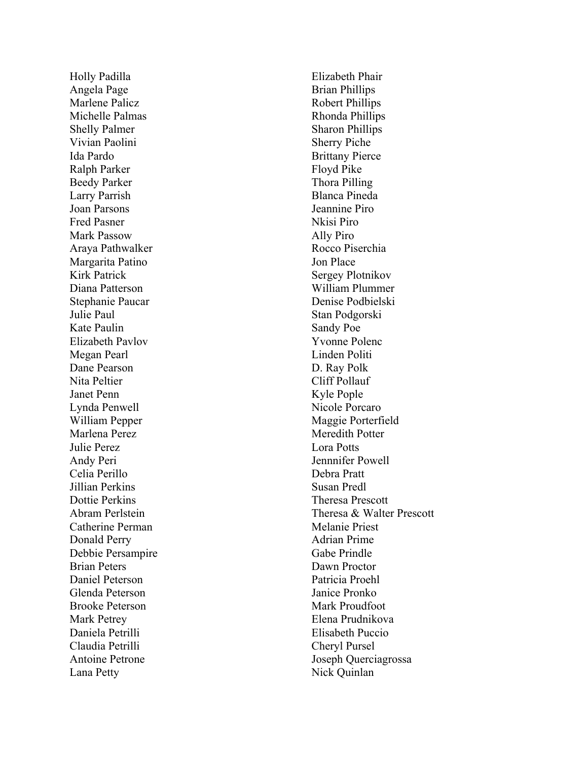Holly Padilla Angela Page Marlene Palicz Michelle Palmas Shelly Palmer Vivian Paolini Ida Pardo Ralph Parker Beedy Parker Larry Parrish Joan Parsons Fred Pasner Mark Passow Araya Pathwalker Margarita Patino Kirk Patrick Diana Patterson Stephanie Paucar Julie Paul Kate Paulin Elizabeth Pavlov Megan Pearl Dane Pearson Nita Peltier Janet Penn Lynda Penwell William Pepper Marlena Perez Julie Perez Andy Peri Celia Perillo Jillian Perkins Dottie Perkins Abram Perlstein Catherine Perman Donald Perry Debbie Persampire Brian Peters Daniel Peterson Glenda Peterson Brooke Peterson Mark Petrey Daniela Petrilli Claudia Petrilli Antoine Petrone Lana Petty

Elizabeth Phair Brian Phillips Robert Phillips Rhonda Phillips Sharon Phillips Sherry P iche Brittany Pierce Floyd Pike Thora Pilling Blanca Pineda Jeannine Piro Nkisi Pi r o Ally Pi r o Rocco Piserchia Jon Place Sergey Plotnikov William Plummer Denise Podbielski Stan Podgorski Sandy Poe Yvonne Polenc Linden Politi D. Ray Polk Cliff Pollauf Kyle Pople Nicole Porcaro Maggie Porterfield Meredith Potter Lora Potts Jennnifer Powell Debra Pratt Susan Predl Theresa Prescott Theresa & Walter Prescott Melanie Priest Adrian Prime Gabe Prindle Dawn Proctor Patricia Proehl Janice Pronko Mark Proudfoot Elena Prudnikova Elisabeth Puccio Cheryl Pursel Joseph Querciagrossa Nick Quinlan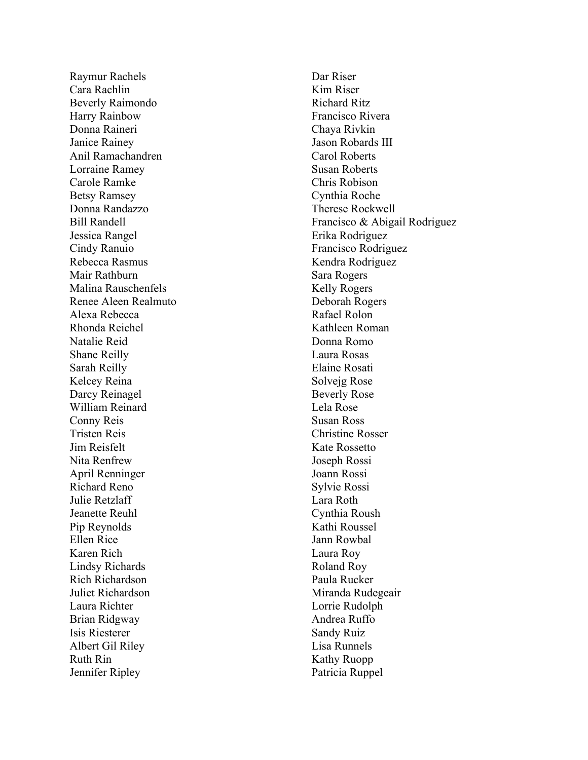Raymur Rachels Cara Rachlin Beverly Raimondo Harry Rainbow Donna Raineri Janice Rainey Anil Ramachandren Lorraine Ramey Carole Ramke Betsy Ramsey Donna Randazzo Bill Randell Jessica Rangel Cindy Ranuio Rebecca Rasmus Mair Rathburn Malina Rauschenfels Renee Aleen Realmuto Alexa Rebecca Rhonda Reichel Natalie Reid Shane Reilly Sarah Reilly Kelcey Reina Darcy Reinagel William Reinard Conny Reis Tristen Reis Jim Reisfelt Nita Renfrew April Renninger Richard Reno Julie Retzlaff Jeanette Reuhl Pip Reynolds Ellen Rice Karen Rich Lindsy Richards Rich Richardson Juliet Richardson Laura Richter Brian Ridgway Isis Riesterer Albert Gil Riley Ruth Rin Jennifer Ripley

Dar Riser Kim Riser Richard Ritz Francisco Rivera Chaya Rivkin Jason Robards III Carol Roberts Susan Roberts Chris Robison Cynthia Roche Therese Rockwell Francisco & Abigail Rodriguez Erika Rodriguez Francisco Rodriguez Kendra Rodriguez Sara Rogers Kelly Rogers Deborah Rogers Rafael Rolon Kathleen Roman Donna Romo Laura Rosas Elaine Rosati Solvejg Rose Beverly Rose Lela Rose Susan Ross Christine Rosser Kate Rossetto Joseph Rossi Joann Rossi Sylvie Rossi Lara Roth Cynthia Roush Kathi Roussel Jann Rowbal Laura Roy Roland Roy Paula Rucker Miranda Rudegeair Lorrie Rudolph Andrea Ruffo Sandy Ruiz Lisa Runnels Kathy Ruopp Patricia Ruppel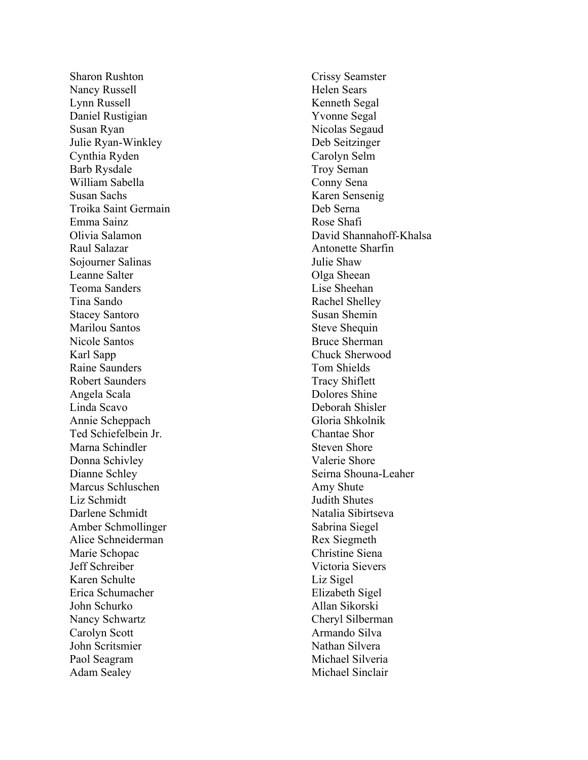Sharon Rushton Nancy Russell Lynn Russell Daniel Rustigian Susan Ryan Julie Ryan -Winkley Cynthia Ryden Barb Rysdale William Sabella Susan Sachs Troika Saint Germain Emma Sainz Olivia Salamon Raul Salazar Sojourner Salinas Leanne Salter Teoma Sanders Tina Sando Stacey Santoro Marilou Santos Nicole Santos Karl Sapp Raine Saunders Robert Saunders Angela Scala Linda Scavo Annie Scheppach Ted Schiefelbein Jr . Marna Schindler Donna Schivley Dianne Schley Marcus Schluschen Liz Schmidt Darlene Schmidt Amber Schmollinger Alice Schneiderman Marie Schopac Jeff Schreiber Karen Schulte Erica Schumacher John Schurko Nancy Schwartz Carolyn Scott John Scritsmier Paol Seagram Adam Sealey

Crissy Seamster Helen Sears Kenneth Segal Yvonne Segal Nicolas Segaud Deb Seitzinger Carolyn Selm Troy Seman Conny Sena Karen Sensenig Deb Serna Rose Shafi David Shannahoff-Khalsa Antonette Sharfin Julie Shaw Olga Sheean Lise Sheehan Rachel Shelley Susan Shemin Steve Shequin Bruce Sherman Chuck Sherwood Tom Shields Tracy Shiflett Dolores Shine Deborah Shisler Gloria Shkolnik Chantae Shor Steven Shore Valerie Shore Seirna Shouna -Leaher Amy Shute Judith Shutes Natalia Sibirtseva Sabrina Siegel Rex Siegmeth Christine Siena Victoria Sievers Liz Sigel Elizabeth Sigel Allan Sikorski Cheryl Silberman Armando Silva Nathan Silvera Michael Silveria Michael Sinclair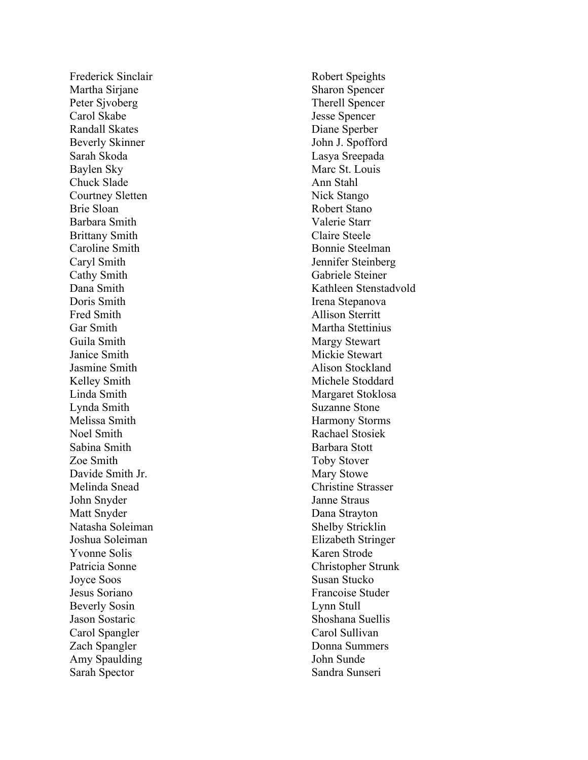Frederick Sinclair Martha Sirjane Peter Sjvoberg Carol Skabe Randall Skates Beverly Skinner Sarah Skoda Baylen Sky Chuck Slade Courtney Sletten Brie Sloan Barbara Smith Brittany Smith Caroline Smith Caryl Smith Cathy Smith Dana Smith Doris Smith Fred Smith Gar Smith Guila Smith Janice Smith Jasmine Smith Kelley Smith Linda Smith Lynda Smith Melissa Smith Noel Smith Sabina Smith Zoe Smith Davide Smith Jr. Melinda Snead John Snyder Matt Snyder Natasha Soleiman Joshua Soleiman Yvonne Solis Patricia Sonne Joyce Soos Jesus Soriano Beverly Sosin Jason Sostaric Carol Spangler Zach Spangler Amy Spaulding Sarah Spector

Robert Speights Sharon Spencer Therell Spencer Jesse Spencer Diane Sperber John J . Spofford Lasya Sreepada Marc St. Louis Ann Stahl Nick Stango Robert Stano Valerie Starr Claire Steele Bonnie Steelman Jennifer Steinberg Gabriele Steiner Kathleen Stenstadvold Irena Stepanova Allison Sterritt Martha Stettinius Margy Stewart Mickie Stewart Alison Stockland Michele Stoddard Margaret Stoklosa Suzann e Stone Harmony Storms Rachael Stosiek Barbara Stott Toby Stover Mary Stowe Christine Strasser Janne Straus Dana Strayton Shelby Stricklin Elizabeth Stringer Karen Strode Christopher Strunk Susan Stucko Francoise Studer Lynn Stull Shoshana Suellis Carol Sullivan Donna Summers John Sunde Sandra Sunseri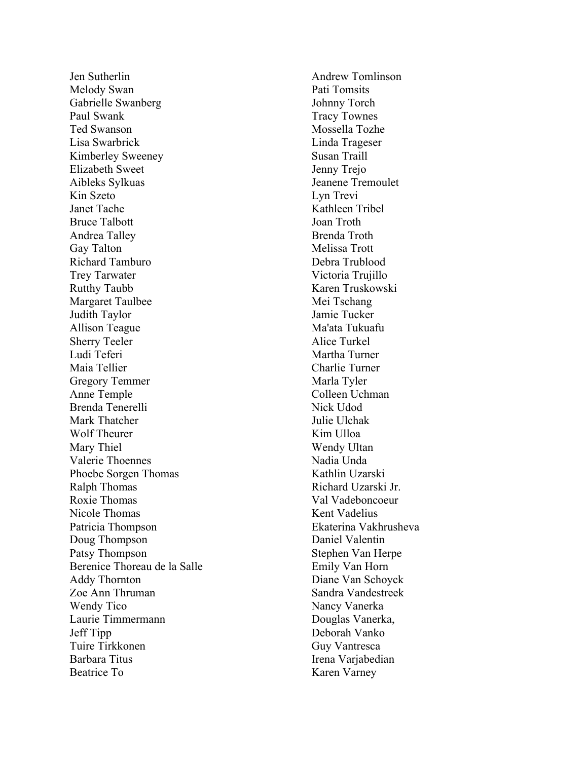Jen Sutherlin Melody Swan Gabrielle Swanberg Paul Swank Ted Swanson Lisa Swarbrick Kimberley Sweeney Elizabeth Sweet Aibleks Sylkuas Kin Szeto Janet Tache Bruce Talbott Andrea Talley Gay Talton Richard Tamburo Trey Tarwater Rutthy Taubb Margaret Taulbee Judith Taylor Allison Teague Sherry Teeler Ludi Teferi Maia Tellier Gregory Temmer Anne Temple Brenda Tenerelli Mark Thatcher Wolf Theurer Mary Thiel Valerie Thoennes Phoebe Sorgen Thomas Ralph Thomas Roxie Thomas Nicole Thomas Patricia Thompson Doug Thompson Patsy Thompson Berenice Thoreau de la Salle Addy Thornton Zoe Ann Thruman Wendy Tico Laurie Timmermann Jeff Tipp Tuire Tirkkonen Barbara Titus Beatrice To

Andrew Tomlinson Pati Tomsits Johnny Torch Tracy Townes Mossella Tozhe Linda Trageser Susan Traill Jenny Trejo Jeanene Tremoulet Lyn Trevi Kathleen Tribel Joan Troth Brenda Troth Melissa Trott Debra Trublood Victoria Trujillo Karen Truskowski Mei Tschang Jamie Tucker Ma'ata Tukuafu Alice Turkel Martha Turner Charlie Turner Marla Tyler Colleen Uchman Nick Udod Julie Ulchak Kim Ulloa Wendy Ultan Nadia Unda Kathlin Uzarski Richard Uzarski Jr . Val Vadeboncoeur Kent Vadelius Ekaterina Vakhrusheva Daniel Valentin Stephen Van Herpe Emily Van Horn Diane Van Schoyck Sandra Vandestreek Nancy Vanerka Douglas Vanerka, Deborah Vanko Guy Vantresca Irena Varjabedian Karen Varney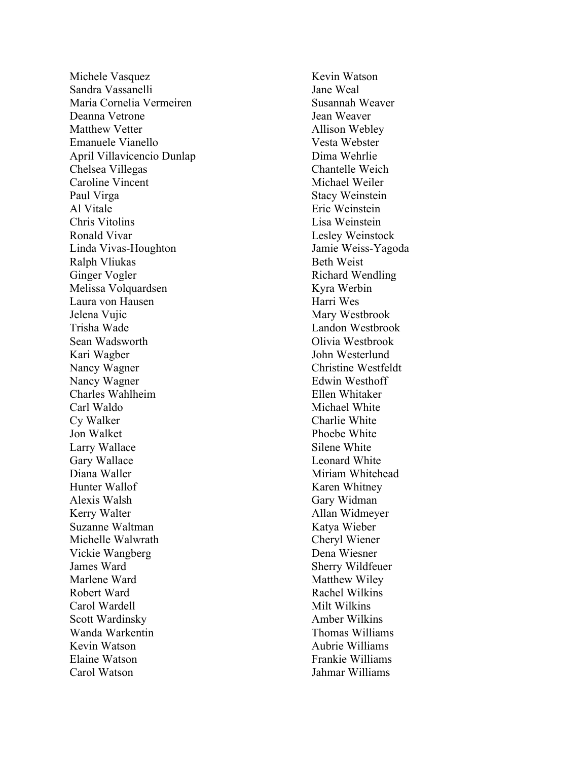Michele Vasquez Sandra Vassanelli Maria Cornelia Vermeire n Deanna Vetrone Matthew Vetter Emanuele Vianello April Villavicencio Dunlap Chelsea Villegas Caroline Vincent Paul Virga Al Vitale Chris Vitolins Ronald Vivar Linda Vivas -Houghton Ralph Vliukas Ginger Vogler Melissa Volquardsen Laura von Hausen Jelena Vujic Trisha Wade Sean Wadsworth Kari Wagber Nancy Wagner Nancy Wagner Charles Wahlheim Carl Waldo Cy Walker Jon Walket Larry Wallace Gary Wallace Diana Waller Hunter Wallof Alexis Walsh Kerry Walter Suzanne Waltman Michelle Walwrath Vickie Wangberg James Ward Marlene Ward Robert Ward Carol Wardell Scott Wardinsky Wanda Warkentin Kevin Watson Elaine Watson Carol Watson

Kevin Watson Jane Weal Susannah Weaver Jean Weaver Allison Webley Vesta Webster Dima Wehrlie Chantelle Weich Michael Weiler Stacy Weinstei n Eric Weinstein Lisa Weinstein Lesley Weinstock Jamie Weiss -Yagoda Beth Weist Richard Wendling Kyra Werbin Harri Wes Mary Westbrook Landon Westbrook Olivia Westbrook John Westerlund Christine Westfeldt Edwin Westhoff Ellen Whitaker Michael White Charlie White Phoebe White Silene White Leonard White Miriam Whitehead Karen Whitney Gary Widman Allan Widmeyer Katya Wieber Cheryl Wiener Dena Wiesner Sherry Wildfeuer Matthew Wiley Rachel Wilkins Milt Wilkins Amber Wilkins Thomas Williams Aubrie Williams Frankie Williams Jahmar Williams